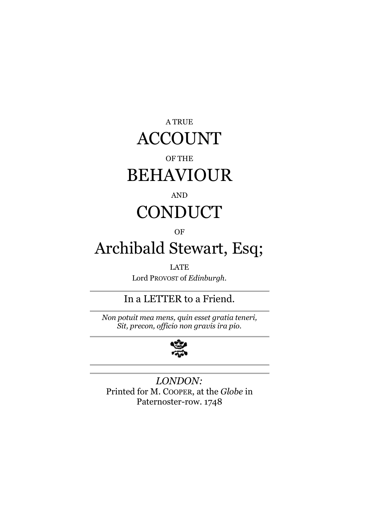# A TRUE ACCOUNT OF THE BEHAVIOUR

### AND

# **CONDUCT**

OF

# Archibald Stewart, Esq;

LATE

Lord PROVOST of *Edinburgh.*

In a LETTER to a Friend.

*Non potuit mea mens, quin esset gratia teneri, Sit, precon, officio non gravis ira pio.*



*LONDON:* Printed for M. COOPER, at the *Globe* in Paternoster-row. 1748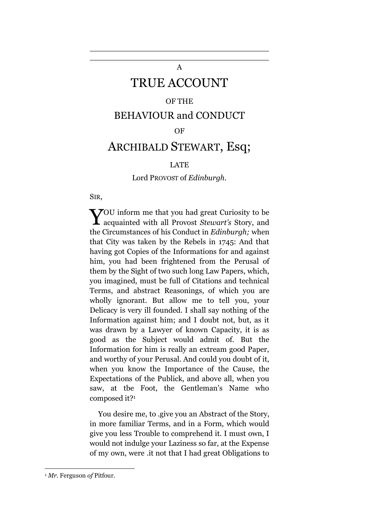## A

## TRUE ACCOUNT

### OF THE

## BEHAVIOUR and CONDUCT

#### OF

## ARCHIBALD STEWART, Esq;

#### LATE

Lord PROVOST of *Edinburgh.*

SIR,

YOU inform me that you had great Curiosity to be acquainted with all Provost Stewart's Story, and acquainted with all Provost *Stewart's* Story, and the Circumstances of his Conduct in *Edinburgh;* when that City was taken by the Rebels in 1745: And that having got Copies of the Informations for and against him, you had been frightened from the Perusal of them by the Sight of two such long Law Papers, which, you imagined, must be full of Citations and technical Terms, and abstract Reasonings, of which you are wholly ignorant. But allow me to tell you, your Delicacy is very ill founded. I shall say nothing of the Information against him; and I doubt not, but, as it was drawn by a Lawyer of known Capacity, it is as good as the Subject would admit of. But the Information for him is really an extream good Paper, and worthy of your Perusal. And could you doubt of it, when you know the Importance of the Cause, the Expectations of the Publick, and above all, when you saw, at tbe Foot, the Gentleman's Name who composed it? 1

You desire me, to .give you an Abstract of the Story, in more familiar Terms, and in a Form, which would give you less Trouble to comprehend it. I must own, I would not indulge your Laziness so far, at the Expense of my own, were .it not that I had great Obligations to

<sup>1</sup> *Mr.* Ferguson *of* Pitfour.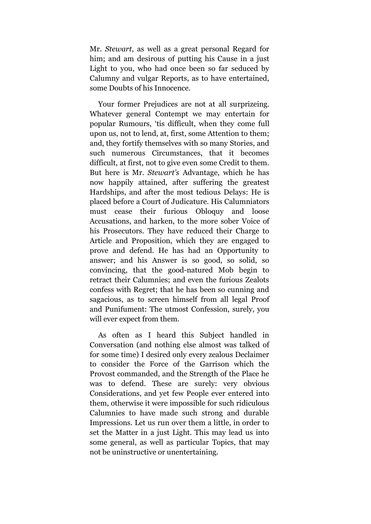Mr. *Stewart,* as well as a great personal Regard for him; and am desirous of putting his Cause in a just Light to you, who had once been so far seduced by Calumny and vulgar Reports, as to have entertained, some Doubts of his Innocence.

Your former Prejudices are not at all surprizeing. Whatever general Contempt we may entertain for popular Rumours, 'tis difficult, when they come full upon us, not to lend, at, first, some Attention to them; and, they fortify themselves with so many Stories, and such numerous Circumstances, that it becomes difficult, at first, not to give even some Credit to them. But here is Mr. *Stewart's* Advantage, which he has now happily attained, after suffering the greatest Hardships, and after the most tedious Delays: He is placed before a Court of Judicature. His Calumniators must cease their furious Obloquy and loose Accusations, and harken, to the more sober Voice of his Prosecutors. They have reduced their Charge to Article and Proposition, which they are engaged to prove and defend. He has had an Opportunity to answer; and his Answer is so good, so solid, so convincing, that the good-natured Mob begin to retract their Calumnies; and even the furious Zealots confess with Regret; that he has been so cunning and sagacious, as to screen himself from all legal Proof and Punifument: The utmost Confession, surely, you will ever expect from them.

As often as I heard this Subject handled in Conversation (and nothing else almost was talked of for some time) I desired only every zealous Declaimer to consider the Force of the Garrison which the Provost commanded, and the Strength of the Place he was to defend. These are surely: very obvious Considerations, and yet few People ever entered into them, otherwise it were impossible for such ridiculous Calumnies to have made such strong and durable Impressions. Let us run over them a little, in order to set the Matter in a just Light. This may lead us into some general, as well as particular Topics, that may not be uninstructive or unentertaining.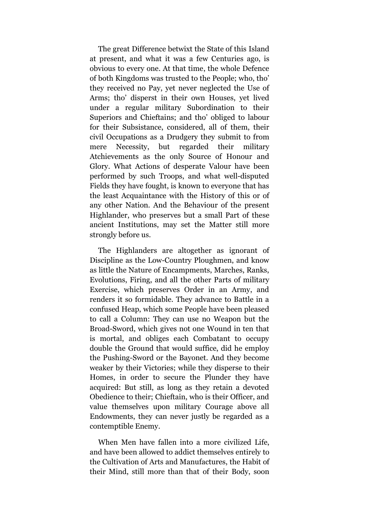The great Difference betwixt the State of this Island at present, and what it was a few Centuries ago, is obvious to every one. At that time, the whole Defence of both Kingdoms was trusted to the People; who, tho' they received no Pay, yet never neglected the Use of Arms; tho' disperst in their own Houses, yet lived under a regular military Subordination to their Superiors and Chieftains; and tho' obliged to labour for their Subsistance, considered, all of them, their civil Occupations as a Drudgery they submit to from mere Necessity, but regarded their military Atchievements as the only Source of Honour and Glory. What Actions of desperate Valour have been performed by such Troops, and what well-disputed Fields they have fought, is known to everyone that has the least Acquaintance with the History of this or of any other Nation. And the Behaviour of the present Highlander, who preserves but a small Part of these ancient Institutions, may set the Matter still more strongly before us.

The Highlanders are altogether as ignorant of Discipline as the Low-Country Ploughmen, and know as little the Nature of Encampments, Marches, Ranks, Evolutions, Firing, and all the other Parts of military Exercise, which preserves Order in an Army, and renders it so formidable. They advance to Battle in a confused Heap, which some People have been pleased to call a Column: They can use no Weapon but the Broad-Sword, which gives not one Wound in ten that is mortal, and obliges each Combatant to occupy double the Ground that would suffice, did he employ the Pushing-Sword or the Bayonet. And they become weaker by their Victories; while they disperse to their Homes, in order to secure the Plunder they have acquired: But still, as long as they retain a devoted Obedience to their; Chieftain, who is their Officer, and value themselves upon military Courage above all Endowments, they can never justly be regarded as a contemptible Enemy.

When Men have fallen into a more civilized Life, and have been allowed to addict themselves entirely to the Cultivation of Arts and Manufactures, the Habit of their Mind, still more than that of their Body, soon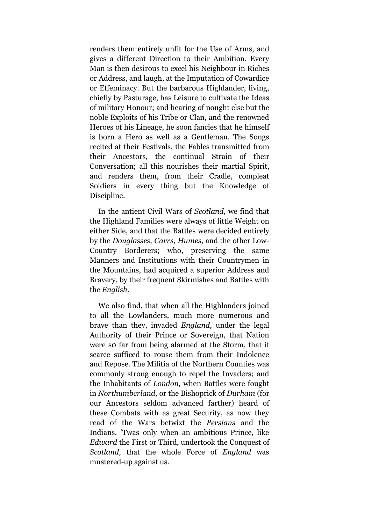renders them entirely unfit for the Use of Arms, and gives a different Direction to their Ambition. Every Man is then desirous to excel his Neighbour in Riches or Address, and laugh, at the Imputation of Cowardice or Effeminacy. But the barbarous Highlander, living, chiefly by Pasturage, has Leisure to cultivate the Ideas of military Honour; and hearing of nought else but the noble Exploits of his Tribe or Clan, and the renowned Heroes of his Lineage, he soon fancies that he himself is born a Hero as well as a Gentleman. The Songs recited at their Festivals, the Fables transmitted from their Ancestors, the continual Strain of their Conversation; all this nourishes their martial Spirit, and renders them, from their Cradle, compleat Soldiers in every thing but the Knowledge of Discipline.

In the antient Civil Wars of *Scotland,* we find that the Highland Families were always of little Weight on either Side, and that the Battles were decided entirely by the *Douglasses, Carrs, Humes,* and the other Low-Country Borderers; who, preserving the same Manners and Institutions with their Countrymen in the Mountains, had acquired a superior Address and Bravery, by their frequent Skirmishes and Battles with the *English.*

We also find, that when all the Highlanders joined to all the Lowlanders, much more numerous and brave than they, invaded *England,* under the legal Authority of their Prince or Sovereign, that Nation were s0 far from being alarmed at the Storm, that it scarce sufficed to rouse them from their Indolence and Repose. The Militia of the Northern Counties was commonly strong enough to repel the Invaders; and the Inhabitants of *London,* when Battles were fought in *Northumberland,* or the Bishoprick of *Durham* (for our Ancestors seldom advanced farther) heard of these Combats with as great Security, as now they read of the Wars betwixt the *Persians* and the Indians. 'Twas only when an ambitious Prince, like *Edward* the First or Third, undertook the Conquest of *Scotland,* that the whole Force of *England* was mustered-up against us.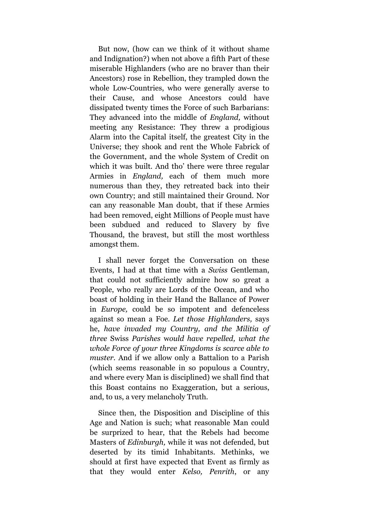But now, (how can we think of it without shame and Indignation?) when not above a fifth Part of these miserable Highlanders (who are no braver than their Ancestors) rose in Rebellion, they trampled down the whole Low-Countries, who were generally averse to their Cause, and whose Ancestors could have dissipated twenty times the Force of such Barbarians: They advanced into the middle of *England,* without meeting any Resistance: They threw a prodigious Alarm into the Capital itself, the greatest City in the Universe; they shook and rent the Whole Fabrick of the Government, and the whole System of Credit on which it was built. And tho' there were three regular Armies in *England,* each of them much more numerous than they, they retreated back into their own Country; and still maintained their Ground. Nor can any reasonable Man doubt, that if these Armies had been removed, eight Millions of People must have been subdued and reduced to Slavery by five Thousand, the bravest, but still the most worthless amongst them.

I shall never forget the Conversation on these Events, I had at that time with a *Swiss* Gentleman, that could not sufficiently admire how so great a People, who really are Lords of the Ocean, and who boast of holding in their Hand the Ballance of Power in *Europe,* could be so impotent and defenceless against so mean a Foe. *Let those Highlanders,* says he, *have invaded my Country, and the Militia of three* Swiss *Parishes* w*ould have repelled, what the whole Force of your three Kingdoms is scarce able to muster.* And if we allow only a Battalion to a Parish (which seems reasonable in so populous a Country, and where every Man is disciplined) we shall find that this Boast contains no Exaggeration, but a serious, and, to us, a very melancholy Truth.

Since then, the Disposition and Discipline of this Age and Nation is such; what reasonable Man could be surprized to hear, that the Rebels had become Masters of *Edinburgh,* while it was not defended, but deserted by its timid Inhabitants. Methinks, we should at first have expected that Event as firmly as that they would enter *Kelso, Penrith*, or any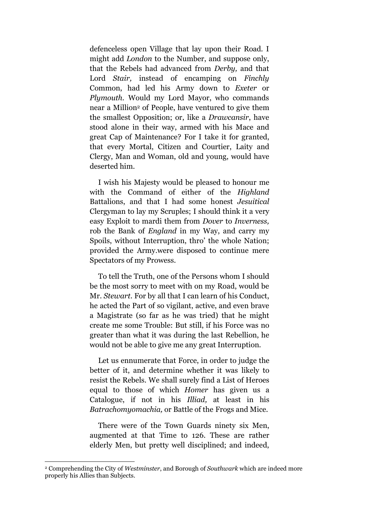defenceless open Village that lay upon their Road. I might add *London* to the Number, and suppose only, that the Rebels had advanced from *Derby,* and that Lord *Stair*, instead of encamping on *Finchly* Common, had led his Army down to *Exeter* or *Plymouth.* Would my Lord Mayor, who commands near a Million<sup>2</sup> of People, have ventured to give them the smallest Opposition; or, like a *Drawcansir*, have stood alone in their way, armed with his Mace and great Cap of Maintenance? For I take it for granted, that every Mortal, Citizen and Courtier, Laity and Clergy, Man and Woman, old and young, would have deserted him.

I wish his Majesty would be pleased to honour me with the Command of either of the *Highland*  Battalions, and that I had some honest *Jesuitical*  Clergyman to lay my Scruples; I should think it a very easy Exploit to mardi them from *Dover* to *Inverness,*  rob the Bank of *England* in my Way, and carry my Spoils, without Interruption, thro' the whole Nation; provided the Army.were disposed to continue mere Spectators of my Prowess.

To tell the Truth, one of the Persons whom I should be the most sorry to meet with on my Road, would be Mr. *Stewart.* For by all that I can learn of his Conduct, he acted the Part of so vigilant, active, and even brave a Magistrate (so far as he was tried) that he might create me some Trouble: But still, if his Force was no greater than what it was during the last Rebellion, he would not be able to give me any great Interruption.

Let us ennumerate that Force, in order to judge the better of it, and determine whether it was likely to resist the Rebels. We shall surely find a List of Heroes equal to those of which *Homer* has given us a Catalogue, if not in his *Illiad,* at least in his *Batrachomyomachia,* or Battle of the Frogs and Mice.

There were of the Town Guards ninety six Men, augmented at that Time to 126. These are rather elderly Men, but pretty well disciplined; and indeed,

<sup>2</sup> Comprehending the City of *Westminster*, and Borough of *Southwark* which are indeed more properly his Allies than Subjects.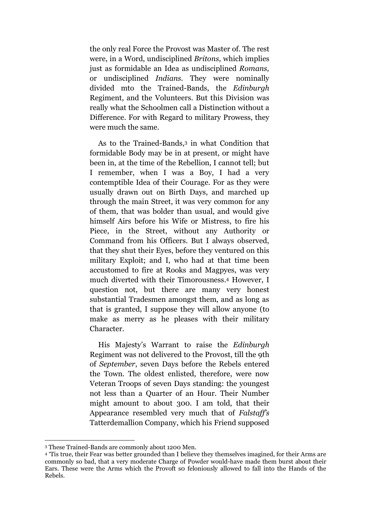the only real Force the Provost was Master of. The rest were, in a Word, undisciplined *Britons,* which implies just as formidable an Idea as undisciplined *Romans,*  or undisciplined *Indians.* They were nominally divided mto the Trained-Bands, the *Edinburgh*  Regiment, and the Volunteers. But this Division was really what the Schoolmen call a Distinction without a Difference. For with Regard to military Prowess, they were much the same.

As to the Trained-Bands,<sup>3</sup> in what Condition that formidable Body may be in at present, or might have been in, at the time of the Rebellion, I cannot tell; but I remember, when I was a Boy, I had a very contemptible Idea of their Courage. For as they were usually drawn out on Birth Days, and marched up through the main Street, it was very common for any of them, that was bolder than usual, and would give himself Airs before his Wife or Mistress, to fire his Piece, in the Street, without any Authority or Command from his Officers. But I always observed, that they shut their Eyes, before they ventured on this military Exploit; and I, who had at that time been accustomed to fire at Rooks and Magpyes, was very much diverted with their Timorousness. <sup>4</sup> However, I question not, but there are many very honest substantial Tradesmen amongst them, and as long as that is granted, I suppose they will allow anyone (to make as merry as he pleases with their military Character.

His Majesty's Warrant to raise the *Edinburgh* Regiment was not delivered to the Provost, till the 9th of *September*, seven Days before the Rebels entered the Town. The oldest enlisted, therefore, were now Veteran Troops of seven Days standing: the youngest not less than a Quarter of an Hour. Their Number might amount to about 300. I am told, that their Appearance resembled very much that of *Falstaff's* Tatterdemallion Company, which his Friend supposed

<sup>3</sup> These Trained-Bands are commonly about 1200 Men.

<sup>4</sup> 'Tis true, their Fear was better grounded than I believe they themselves imagined, for their Arms are commonly so bad, that a very moderate Charge of Powder would-have made them burst about their Ears. These were the Arms which the Provoft s0 feloniously allowed to fall into the Hands of the Rebels.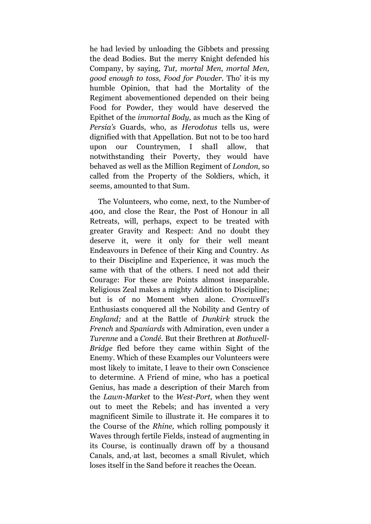he had levied by unloading the Gibbets and pressing the dead Bodies. But the merry Knight defended his Company, by saying, *Tut, mortal Men, mortal Men, good enough to toss, Food for Powder.* Tho' it·is my humble Opinion, that had the Mortality of the Regiment abovementioned depended on their being Food for Powder, they would have deserved the Epithet of the *immortal Body,* as much as the King of *Persia's* Guards, who, as *Herodotus* tells us, were dignified with that Appellation. But not to be too hard upon our Countrymen, I shaIl allow, that notwithstanding their Poverty, they would have behaved as well as the Million Regiment of *London,* so called from the Property of the Soldiers, which, it seems, amounted to that Sum.

The Volunteers, who come, next, to the Number·of 400, and close the Rear, the Post of Honour in all Retreats, will, perhaps, expect to be treated with greater Gravity and Respect: And no doubt they deserve it, were it only for their well meant Endeavours in Defence of their King and Country. As to their Discipline and Experience, it was much the same with that of the others. I need not add their Courage: For these are Points almost inseparable. Religious Zeal makes a mighty Addition to Discipline; but is of no Moment when alone. *Cromwell's*  Enthusiasts conquered all the Nobility and Gentry of *England;* and at the Battle of *Dunkirk* struck the *French* and *Spaniards* with Admiration, even under a *Turenne* and a *Condé.* But their Brethren at *Bothwell-Bridge* fled before they came within Sight of the Enemy. Which of these Examples our Volunteers were most likely to imitate, I leave to their own Conscience to determine. A Friend of mine, who has a poetical Genius, has made a description of their March from the *Lawn-Market* to the *West-Port,* when they went out to meet the Rebels; and has invented a very magnificent Simile to illustrate it. He compares it to the Course of the *Rhine,* which rolling pompously it Waves through fertile Fields, instead of augmenting in its Course, is continually drawn off by a thousand Canals, and,·at last, becomes a small Rivulet, which loses itself in the Sand before it reaches the Ocean.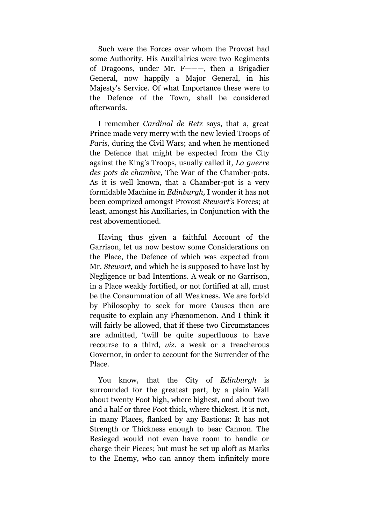Such were the Forces over whom the Provost had some Authority. His Auxilialries were two Regiments of Dragoons, under Mr*.* F———, then a Brigadier General, now happily a Major General, in his Majesty's Service. Of what Importance these were to the Defence of the Town, shall be considered afterwards.

I remember *Cardinal de Retz* says, that a, great Prince made very merry with the new levied Troops of *Paris,* during the Civil Wars; and when he mentioned the Defence that might be expected from the City against the King's Troops, usually called it, *La guerre des pots de chambre,* The War of the Chamber-pots. As it is well known, that a Chamber-pot is a very formidable Machine in *Edinburgh,* I wonder it has not been comprized amongst Provost *Stewart's* Forces; at least, amongst his Auxiliaries, in Conjunction with the rest abovementioned.

Having thus given a faithful Account of the Garrison, let us now bestow some Considerations on the Place, the Defence of which was expected from Mr. *Stewart,* and which he is supposed to have lost by Negligence or bad Intentions. A weak or no Garrison, in a Place weakly fortified, or not fortified at all, must be the Consummation of all Weakness. We are forbid by Philosophy to seek for more Causes then are requsite to explain any Phænomenon. And I think it will fairly be allowed, that if these two Circumstances are admitted, 'twill be quite superfluous to have recourse to a third, *viz.* a weak or a treacherous Governor, in order to account for the Surrender of the Place.

You know, that the City of *Edinburgh* is surrounded for the greatest part, by a plain Wall about twenty Foot high, where highest, and about two and a half or three Foot thick, where thickest. It is not, in many Places, flanked by any Bastions: It has not Strength or Thickness enough to bear Cannon. The Besieged would not even have room to handle or charge their Pieces; but must be set up aloft as Marks to the Enemy, who can annoy them infinitely more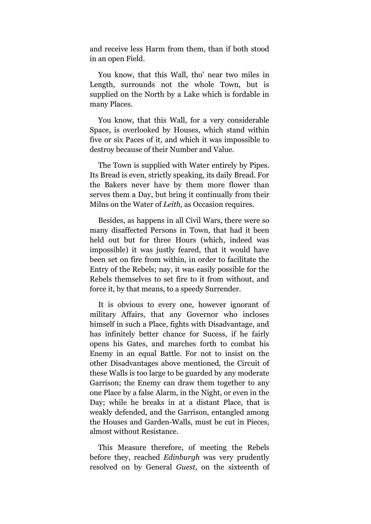and receive less Harm from them, than if both stood in an open Field.

You know, that this Wall, tho' near two miles in Length, surrounds not the whole Town, but is supplied on the North by a Lake which is fordable in many Places.

You know, that this Wall, for a very considerable Space, is overlooked by Houses, which stand within five or six Paces of it, and which it was impossible to destroy because of their Number and Value.

The Town is supplied with Water entirely by Pipes. Its Bread is even, strictly speaking, its daily Bread. For the Bakers never have by them more flower than serves them a Day, but bring it continually from their Milns on the Water of *Leith,* as Occasion requires.

Besides, as happens in all Civil Wars, there were so many disaffected Persons in Town, that had it been held out but for three Hours (which, indeed was impossible) it was justly feared, that it would have been set on fire from within, in order to facilitate the Entry of the Rebels; nay, it was easily possible for the Rebels themselves to set fire to it from without, and force it, by that means, to a speedy Surrender.

It is obvious to every one, however ignorant of military Affairs, that any Governor who incloses himself in such a Place, fights with Disadvantage, and has infinitely better chance for Sucess, if he fairly opens his Gates, and marches forth to combat his Enemy in an equal Battle. For not to insist on the other Disadvantages above mentioned, the Circuit of these Walls is too large to be guarded by any moderate Garrison; the Enemy can draw them together to any one Place by a false Alarm, in the Night, or even in the Day; while he breaks in at a distant Place, that is weakly defended, and the Garrison, entangled among the Houses and Garden-Walls, must be cut in Pieces, almost without Resistance.

This Measure therefore, of meeting the Rebels before they, reached *Edinburgh* was very prudently resolved on by General *Guest,* on the sixteenth of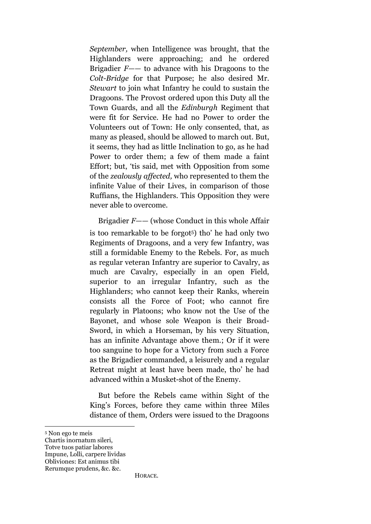*September,* when Intelligence was brought, that the Highlanders were approaching; and he ordered Brigadier *F——* to advance with his Dragoons to the *Colt-Bridge* for that Purpose; he also desired Mr. *Stewart* to join what Infantry he could to sustain the Dragoons. The Provost ordered upon this Duty all the Town Guards, and all the *Edinburgh* Regiment that were fit for Service. He had no Power to order the Volunteers out of Town: He only consented, that, as many as pleased, should be allowed to march out. But, it seems, they had as little Inclination to go, as he had Power to order them; a few of them made a faint Effort; but, 'tis said, met with Opposition from some of the *zealously affected,* who represented to them the infinite Value of their Lives, in comparison of those Ruffians, the Highlanders. This Opposition they were never able to overcome.

Brigadier *F——* (whose Conduct in this whole Affair is too remarkable to be forgot5) tho' he had only two Regiments of Dragoons, and a very few Infantry, was still a formidable Enemy to the Rebels. For, as much as regular veteran Infantry are superior to Cavalry, as much are Cavalry, especially in an open Field, superior to an irregular Infantry, such as the Highlanders; who cannot keep their Ranks, wherein consists all the Force of Foot; who cannot fire regularly in Platoons; who know not the Use of the Bayonet, and whose sole Weapon is their Broad-Sword, in which a Horseman, by his very Situation, has an infinite Advantage above them.; Or if it were too sanguine to hope for a Victory from such a Force as the Brigadier commanded, a leisurely and a regular Retreat might at least have been made, tho' he had advanced within a Musket-shot of the Enemy.

But before the Rebels came within Sight of the King's Forces, before they came within three Miles distance of them, Orders were issued to the Dragoons

<u>.</u>

Chartis inornatum sileri, Totve tuos patiar labores

<sup>5</sup> Non ego te meis

Impune, Lolli, carpere lividas

Obliviones: Est animus tibi Rerumque prudens, &c. &c.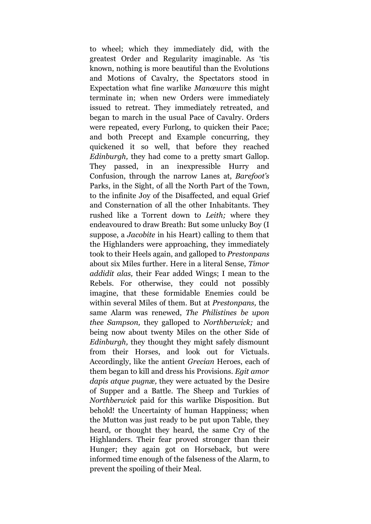to wheel; which they immediately did, with the greatest Order and Regularity imaginable. As 'tis known, nothing is more beautiful than the Evolutions and Motions of Cavalry, the Spectators stood in Expectation what fine warlike *Manœuvre* this might terminate in; when new Orders were immediately issued to retreat. They immediately retreated, and began to march in the usual Pace of Cavalry. Orders were repeated, every Furlong, to quicken their Pace; and both Precept and Example concurring, they quickened it so well, that before they reached *Edinburgh,* they had come to a pretty smart Gallop. They passed, in an inexpressible Hurry and Confusion, through the narrow Lanes at, *Barefoot's*  Parks, in the Sight, of all the North Part of the Town, to the infinite Joy of the Disaffected, and equal Grief and Consternation of all the other Inhabitants. They rushed like a Torrent down to *Leith;* where they endeavoured to draw Breath: But some unlucky Boy (I suppose, a *Jacobite* in his Heart) calling to them that the Highlanders were approaching, they immediately took to their Heels again, and galloped to *Prestonpans*  about six Miles further. Here in a literal Sense, *Timor addidit alas,* their Fear added Wings; I mean to the Rebels. For otherwise, they could not possibly imagine, that these formidable Enemies could be within several Miles of them. But at *Prestonpans,* the same Alarm was renewed, *The Philistines be upon thee Sampson,* they galloped to *Northberwick;* and being now about twenty Miles on the other Side of *Edinburgh,* they thought they might safely dismount from their Horses, and look out for Victuals. Accordingly, like the antient *Grecian* Heroes, each of them began to kill and dress his Provisions. *Egit amor dapis atque pugnæ,* they were actuated by the Desire of Supper and a Battle. The Sheep and Turkies of *Northberwick* paid for this warlike Disposition. But behold! the Uncertainty of human Happiness; when the Mutton was just ready to be put upon Table, they heard, or thought they heard, the same Cry of the Highlanders. Their fear proved stronger than their Hunger; they again got on Horseback, but were informed time enough of the falseness of the Alarm, to prevent the spoiling of their Meal.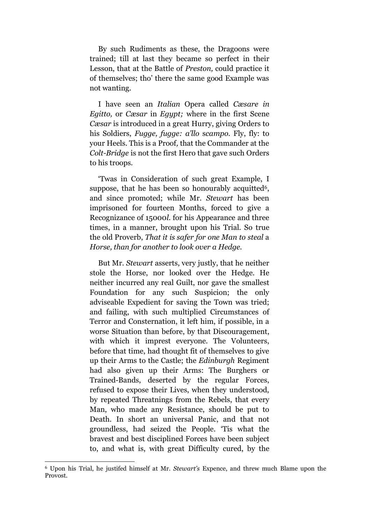By such Rudiments as these, the Dragoons were trained; till at last they became so perfect in their Lesson, that at the Battle of *Preston,* could practice it of themselves; tho' there the same good Example was not wanting.

I have seen an *Italian* Opera called *Cæsare in Egitto,* or *Cæsar* in *Egypt;* where in the first Scene *Cæsar* is introduced in a great Hurry, giving Orders to his Soldiers, *Fugge, fugge: a'llo* s*campo.* Fly, fly: to your Heels. This is a Proof*,* that the Commander at the *Colt-Bridge* is not the first Hero that gave such Orders to his troops.

'Twas in Consideration of such great Example, I suppose, that he has been so honourably acquitted<sup>6</sup>, and since promoted; while Mr. *Stewart* has been imprisoned for fourteen Months, forced to give a Recognizance of 15000*l.* for his Appearance and three times, in a manner, brought upon his Trial. So true the old Proverb, *That it is safer for one Man to steal* a *Horse, than for another to look over a Hedge.*

But Mr*. Stewart* asserts, very justly, that he neither stole the Horse, nor looked over the Hedge. He neither incurred any real Guilt, nor gave the smallest Foundation for any such Suspicion; the only adviseable Expedient for saving the Town was tried; and failing, with such multiplied Circumstances of Terror and Consternation, it left him, if possible, in a worse Situation than before, by that Discouragement, with which it imprest everyone. The Volunteers, before that time, had thought fit of themselves to give up their Arms to the Castle; the *Edinburgh* Regiment had also given up their Arms: The Burghers or Trained-Bands, deserted by the regular Forces, refused to expose their Lives, when they understood, by repeated Threatnings from the Rebels, that every Man, who made any Resistance, should be put to Death. In short an universal Panic, and that not groundless, had seized the People. 'Tis what the bravest and best disciplined Forces have been subject to, and what is, with great Difficulty cured, by the

<sup>6</sup> Upon his Trial, he justifed himself at Mr. *Stewart's* Expence, and threw much Blame upon the Provost.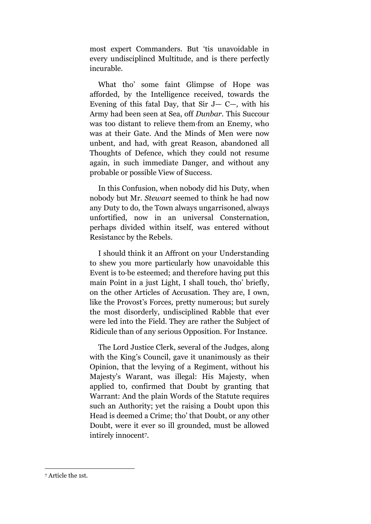most expert Commanders. But 'tis unavoidable in every undisciplincd Multitude, and is there perfectly incurable.

What tho' some faint Glimpse of Hope was afforded, by the Intelligence received, towards the Evening of this fatal Day, that Sir J— C—*,* with his Army had been seen at Sea, off *Dunbar.* This Succour was too distant to relieve them·from an Enemy, who was at their Gate. And the Minds of Men were now unbent, and had, with great Reason, abandoned all Thoughts of Defence, which they could not resume again, in such immediate Danger, and without any probable or possible View of Success.

In this Confusion, when nobody did his Duty, when nobody but Mr. *Stewart* seemed to think he had now any Duty to do, the Town always ungarrisoned, always unfortified, now in an universal Consternation, perhaps divided within itself, was entered without Resistancc by the Rebels.

I should think it an Affront on your Understanding to shew you more particularly how unavoidable this Event is to·be esteemed; and therefore having put this main Point in a just Light, I shall touch, tho' briefly, on the other Articles of Accusation. They are, I own, like the Provost's Forces*,* pretty numerous; but surely the most disorderly, undisciplined Rabble that ever were led into the Field. They are rather the Subject of Ridicule than of any serious Opposition. For Instance.

The Lord Justice Clerk, several of the Judges, along with the King's Council, gave it unanimously as their Opinion, that the levying of a Regiment, without his Majesty's Warant, was illegal: His Majesty, when applied t0, confirmed that Doubt by granting that Warrant: And the plain Words of the Statute requires such an Authority; yet the raising a Doubt upon this Head is deemed a Crime; tho' that Doubt, or any other Doubt, were it ever so ill grounded, must be allowed intirely innocent7.

<sup>7</sup> Article the 1st.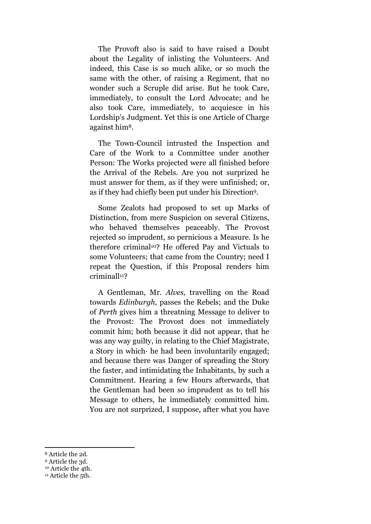The Provoft also is said to have raised a Doubt about the Legality of inlisting the Volunteers. And indeed, this Case is so much alike, or so much the same with the other, of raising a Regiment, that no wonder such a Scruple did arise. But he took Care, immediately, to consult the Lord Advocate; and he also took Care, immediately, to acquiesce in his Lordship's Judgment. Yet this is one Article of Charge against him8.

The Town-Council intrusted the Inspection and Care of the Work to a Committee under another Person: The Works projected were all finished before the Arrival of the Rebels. Are you not surprized he must answer for them, as if they were unfinished; or, as if they had chiefly been put under his Direction9.

Some Zealots had proposed to set up Marks of Distinction, from mere Suspicion on several Citizens, who behaved themselves peaceably. The Provost rejected so imprudent, so pernicious a Measure. Is he therefore criminal10? He offered Pay and Victuals to some Volunteers; that came from the Country; need I repeat the Question, if this Proposal renders him criminall<sup>11</sup>?

A Gentleman, Mr. *Alves,* travelling on the Road towards *Edinburgh,* passes the Rebels; and the Duke of *Perth* gives him a threatning Message to deliver to the Provost: The Provost does not immediately commit him; both because it did not appear, that he was any way guilty, in relating to the Chief Magistrate, a Story in which· he had been involuntarily engaged; and because there was Danger of spreading the Story the faster, and intimidating the Inhabitants, by such a Commitment. Hearing a few Hours afterwards, that the Gentleman had been so imprudent as to tell his Message to others, he immediately committed him. You are not surprized, I suppose, after what you have

- <sup>9</sup> Article the 3d.
- <sup>10</sup> Article the 4th.

<sup>8</sup> Article the 2d.

<sup>11</sup> Article the 5th.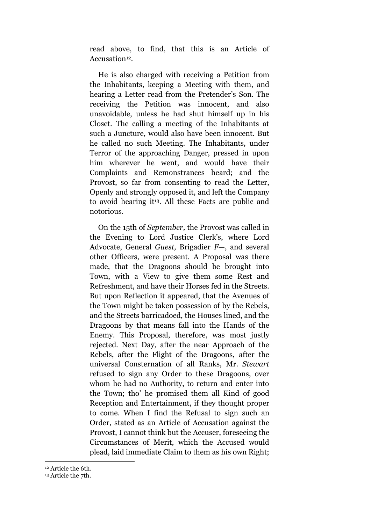read above, to find, that this is an Article of Accusation<sup>12</sup>.

He is also charged with receiving a Petition from the Inhabitants, keeping a Meeting with them, and hearing a Letter read from the Pretender's Son. The receiving the Petition was innocent, and also unavoidable, unless he had shut himself up in his Closet. The calling a meeting of the Inhabitants at such a Juncture, would also have been innocent. But he called no such Meeting. The Inhabitants, under Terror of the approaching Danger, pressed in upon him wherever he went, and would have their Complaints and Remonstrances heard; and the Provost, so far from consenting to read the Letter, Openly and strongly opposed it, and left the Company to avoid hearing it<sup>13</sup>. All these Facts are public and notorious.

On the 15th of *September,* the Provost was called in the Evening to Lord Justice Clerk's, where Lord Advocate, General *Guest,* Brigadier *F—*, and several other Officers, were present. A Proposal was there made, that the Dragoons should be brought into Town, with a View to give them some Rest and Refreshment, and have their Horses fed in the Streets. But upon Reflection it appeared, that the Avenues of the Town might be taken possession of by the Rebels, and the Streets barricadoed, the Houses lined, and the Dragoons by that means fall into the Hands of the Enemy. This Proposal, therefore, was most justly rejected. Next Day, after the near Approach of the Rebels, after the Flight of the Dragoons, after the universal Consternation of all Ranks, Mr. *Stewart*  refused to sign any Order to these Dragoons, over whom he had no Authority, to return and enter into the Town; tho' he promised them all Kind of good Reception and Entertainment, if they thought proper to come. When I find the Refusal to sign such an Order, stated as an Article of Accusation against the Provost, I cannot think but the Accuser, foreseeing the Circumstances of Merit, which the Accused would plead, laid immediate Claim to them as his own Right;

<sup>12</sup> Article the 6th.

<sup>13</sup> Article the 7th.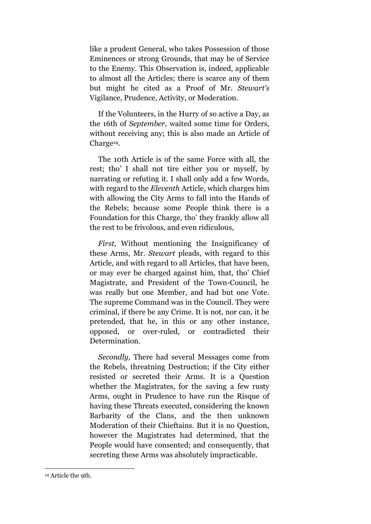like a prudent General, who takes Possession of those Eminences or strong Grounds, that may be of Service to the Enemy. This Observation is, indeed, applicable to almost all the Articles; there is scarce any of them but might he cited as a Proof of Mr. *Stewart's*  Vigilance, Prudence, Activity, or Moderation.

If the Volunteers, in the Hurry of so active a Day, as the 16th of *September,* waited some time for Orders, without receiving any; this is also made an Article of Charge<sup>14</sup>.

The 10th Article is of the same Force with all, the rest; tho' I shall not tire either you or myself, by narrating or refuting it. I shall only add a few Words, with regard to the *Eleventh* Article, which charges him with allowing the City Arms to fall into the Hands of the Rebels; because some People think there is a Foundation for this Charge, tho' they frankly allow all the rest to be frivolous, and even ridiculous,

*First,* Without mentioning the Insignificancy of these Arms, Mr. *Stewart* pleads, with regard to this Article, and with regard to all Articles, that have been, or may ever be charged against him, that, tho' Chief Magistrate, and President of the Town-Council, he was really but one Member, and had but one Vote. The supreme Command was in the Council. They were criminal, if there be any Crime. It is not, nor can, it be pretended, that he, in this or any other instance, opposed, or over-ruled, or contradicted their Determination.

*Secondly,* There had several Messages come from the Rebels, threatning Destruction; if the City either resisted or secreted their Arms. It is a Question whether the Magistrates, for the saving a few rusty Arms, ought in Prudence to have run the Risque of having these Threats executed, considering the known Barbarity of the Clans, and the then unknown Moderation of their Chieftains. But it is no Question, however the Magistrates had determined, that the People would have consented; and consequently, that secreting these Arms was absolutely impracticable.

<sup>14</sup> Article the 9th.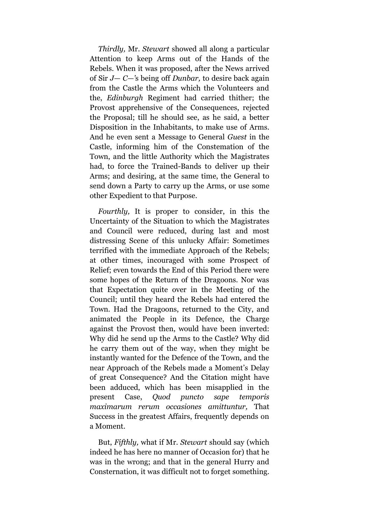*Thirdly,* Mr. *Stewart* showed all along a particular Attention to keep Arms out of the Hands of the Rebels. When it was proposed, after the News arrived of Sir *J— C—'*s being off *Dunbar,* to desire back again from the Castle the Arms which the Volunteers and the, *Edinburgh* Regiment had carried thither; the Provost apprehensive of the Consequences, rejected the Proposal; till he should see, as he said, a better Disposition in the Inhabitants, to make use of Arms. And he even sent a Message to General *Guest* in the Castle, informing him of the Constemation of the Town, and the little Authority which the Magistrates had, to force the Trained-Bands to deliver up their Arms; and desiring, at the same time, the General to send down a Party to carry up the Arms, or use some other Expedient to that Purpose.

*Fourthly,* It is proper to consider, in this the Uncertainty of the Situation to which the Magistrates and Council were reduced, during last and most distressing Scene of this unlucky Affair: Sometimes terrified with the immediate Approach of the Rebels; at other times, incouraged with some Prospect of Relief; even towards the End of this Period there were some hopes of the Return of the Dragoons. Nor was that Expectation quite over in the Meeting 0f the Council; until they heard the Rebels had entered the Town. Had the Dragoons, returned to the City, and animated the People in its Defence, the Charge against the Provost then, would have been inverted: Why did he send up the Arms to the Castle? Why did he carry them out of the way, when they might be instantly wanted for the Defence of the Town, and the near Approach of the Rebels made a Moment's Delay of great Consequence? And the Citation might have been adduced, which has been misapplied in the present Case, *Quod puncto sape temporis maximarum rerum occasiones amittuntur,* That Success in the greatest Affairs, frequently depends on a Moment.

But, *Fifthly,* what if Mr. *Stewart* should say (which indeed he has here no manner of Occasion for) that he was in the wrong; and that in the general Hurry and Consternation, it was difficult not to forget something.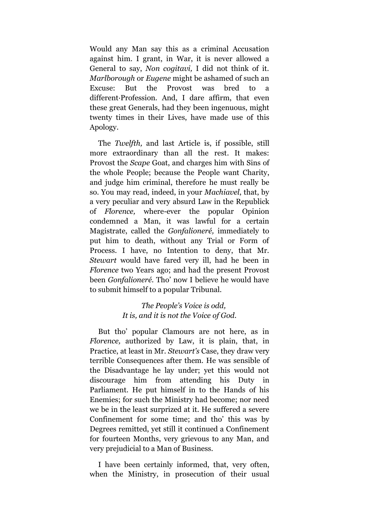Would any Man say this as a criminal Accusation against him. I grant, in War, it is never allowed a General to say, *Non cogitavi,* I did not think of it. *Marlborough* or *Eugene* might be ashamed of such an Excuse: But the Provost was bred to a different·Profession. And, I dare affirm, that even these great Generals, had they been ingenuous, might twenty times in their Lives, have made use of this Apology.

The *Twelfth,* and last Article is, if possible, still more extraordinary than all the rest. It makes: Provost the *Scape* Goat, and charges him with Sins of the whole People; because the People want Charity, and judge him criminal, therefore he must really be so. You may read, indeed, in your *Machiavel*, that, by a very peculiar and very absurd Law in the Republick of *Florence,* where-ever the popular Opinion condemned a Man, it was lawful for a certain Magistrate, called the *Gonfalioneré,* immediately to put him to death, without any Trial or Form of Process. I have, no Intention to deny, that Mr. *Stewart* would have fared very ill, had he been in *Florence* two Years ago; and had the present Provost been *Gonfalioneré.* Tho' now I believe he would have to submit himself to a popular Tribunal.

### *The People's Voice is odd, It is, and it is not the Voice of God.*

But tho' popular Clamours are not here, as in *Florence,* authorized by Law, it is plain, that, in Practice, at least in Mr. *Stewart's* Case, they draw very terrible Consequences after them. He was sensible of the Disadvantage he lay under; yet this would not discourage him from attending his Duty in Parliament. He put himself in to the Hands of his Enemies; for such the Ministry had become; nor need we be in the least surprized at it. He suffered a severe Confinement for some time; and tho' this was by Degrees remitted, yet still it continued a Confinement for fourteen Months, very grievous to any Man, and very prejudicial to a Man of Business.

I have been certainly informed, that, very often, when the Ministry, in prosecution of their usual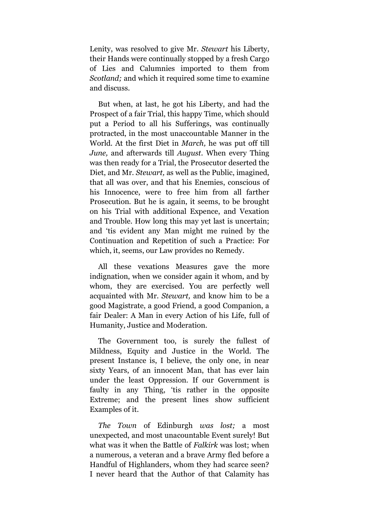Lenity, was resolved to give Mr. *Stewart* his Liberty, their Hands were continually stopped by a fresh Cargo of Lies and Calumnies imported to them from *Scotland;* and which it required some time to examine and discuss.

But when, at last, he got his Liberty, and had the Prospect of a fair Trial, this happy Time, which should put a Period to all his Sufferings, was continually protracted, in the most unaccountable Manner in the World. At the first Diet in *March,* he was put off till *June,* and afterwards till *August.* When every Thing was then ready for a Trial, the Prosecutor deserted the Diet, and Mr. *Stewart,* as well as the Public, imagined, that all was over, and that his Enemies, conscious of his Innocence, were to free him from all farther Prosecution. But he is again, it seems, to be brought on his Trial with additional Expence, and Vexation and Trouble. How long this may yet last is uncertain; and 'tis evident any Man might me ruined by the Continuation and Repetition of such a Practice: For which, it, seems, our Law provides no Remedy.

All these vexations Measures gave the more indignation, when we consider again it whom, and by whom, they are exercised. You are perfectly well acquainted with Mr. *Stewart,* and know him to be a good Magistrate, a good Friend, a good Companion, a fair Dealer: A Man in every Action of his Life, full of Humanity, Justice and Moderation.

The Government too, is surely the fullest of Mildness, Equity and Justice in the World. The present Instance is, I believe, the only one, in near sixty Years, of an innocent Man, that has ever lain under the least Oppression. If our Government is faulty in any Thing, 'tis rather in the opposite Extreme; and the present lines show sufficient Examples of it.

*The Town* of Edinburgh *was lost;* a most unexpected, and most unacountable Event surely! But what was it when the Battle of *Falkirk* was lost; when a numerous, a veteran and a brave Army fled before a Handful of Highlanders, whom they had scarce seen? I never heard that the Author of that Calamity has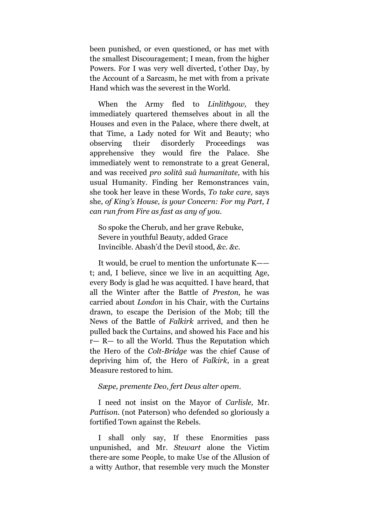been punished, or even questioned, or has met with the smallest Discouragement; I mean, from the higher Powers. For I was very well diverted, t'other Day, by the Account of a Sarcasm, he met with from a private Hand which was the severest in the World.

When the Army fled to *Linlithgow,* they immediately quartered themselves about in all the Houses and even in the Palace, where there dwelt, at that Time, a Lady noted for Wit and Beauty; who observing tl1eir disorderly Proceedings was apprehensive they would fire the Palace. She immediately went to remonstrate to a great General, and was received *pro solitâ suâ humanitate,* with his usual Humanity. Finding her Remonstrances vain, she took her leave in these Words, *To take care,* says she, *of King's House, is your Concern: For my Part, I can run from Fire as fast as any of you.*

So spoke the Cherub, and her grave Rebuke, Severe in youthful Beauty, added Grace Invincible. Abash'd the Devil stood, *&c. &c.*

It would, be cruel to mention the unfortunate K— t; and, I believe, since we live in an acquitting Age, every Body is glad he was acquitted. I have heard, that all the Winter after the Battle of *Preston,* he was carried about *London* in his Chair, with the Curtains drawn, to escape the Derision of the Mob; till the News of the Battle of *Falkirk* arrived, and then he pulled back the Curtains, and showed his Face and his r— R— to all the World. Thus the Reputation which the Hero of the *Colt-Bridge* was the chief Cause of depriving him of, the Hero of *Falkirk,* in a great Measure restored to him.

#### *Sæpe, premente Deo, fert Deus alter opem*.

I need not insist on the Mayor of *Carlisle,* Mr. *Pattison.* (not Paterson) who defended so gloriously a fortified Town against the Rebels.

I shall only say, If these Enormities pass unpunished, and Mr. *Stewart* alone the Victim there·are some People, to make Use of the Allusion of a witty Author, that resemble very much the Monster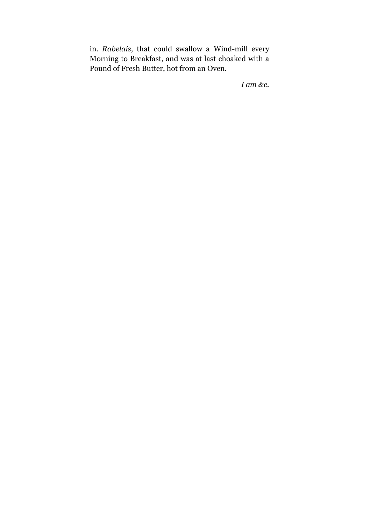in. *Rabelais,* that could swallow a Wind-mill every Morning to Breakfast, and was at last choaked with a Pound of Fresh Butter, hot from an Oven.

*I am &c*.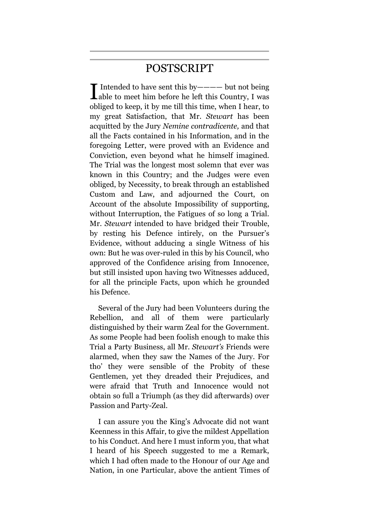## POSTSCRIPT

Intended to have sent this by———— but not being  $\begin{array}{l} \textbf{I} \text{ intended to have sent this by} \textbf{---} \textbf{--} \text{but not being} \\ \textbf{able to meet him before he left this Country, I was} \end{array}$ obliged to keep, it by me till this time, when I hear, to my great Satisfaction, that Mr. *Stewart* has been acquitted by the Jury *Nemine contradicente,* and that all the Facts contained in his Information, and in the foregoing Letter, were proved with an Evidence and Conviction, even beyond what he himself imagined. The Trial was the longest most solemn that ever was known in this Country; and the Judges were even obliged, by Necessity, to break through an established Custom and Law, and adjourned the Court, on Account of the absolute Impossibility of supporting, without Interruption, the Fatigues of so long a Trial. Mr. *Stewart* intended to have bridged their Trouble, by resting his Defence intirely, on the Pursuer's Evidence, without adducing a single Witness of his own: But he was over-ruled in this by his Council, who approved of the Confidence arising from Innocence, but still insisted upon having two Witnesses adduced, for all the principle Facts, upon which he grounded his Defence.

Several of the Jury had been Volunteers during the Rebellion, and all of them were particularly distinguished by their warm Zeal for the Government. As some People had been foolish enough to make this Trial a Party Business, all Mr. *Stewart's* Friends were alarmed, when they saw the Names of the Jury. For tho' they were sensible of the Probity of these Gentlemen, yet they dreaded their Prejudices, and were afraid that Truth and Innocence would not obtain so full a Triumph (as they did afterwards) over Passion and Party-Zeal.

I can assure you the King's Advocate did not want Keenness in this Affair, to give the mildest Appellation to his Conduct. And here I must inform you, that what I heard of his Speech suggested to me a Remark, which I had often made to the Honour of our Age and Nation, in one Particular, above the antient Times of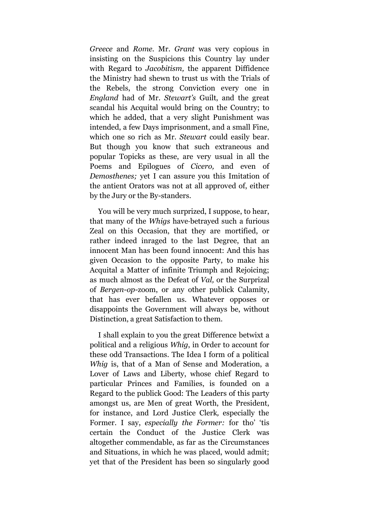*Greece* and *Rome.* Mr. *Grant* was very copious in insisting on the Suspicions this Country lay under with Regard to *Jacobitism,* the apparent Diffidence the Ministry had shewn to trust us with the Trials of the Rebels, the strong Conviction every one in *England* had of Mr. *Stewart's* Guilt, and the great scandal his Acquital would bring on the Country; to which he added, that a very slight Punishment was intended, a few Days imprisonment, and a small Fine, which one so rich as Mr. *Stewart* could easily bear. But though you know that such extraneous and popular Topicks as these, are very usual in all the Poems and Epilogues of *Cicero,* and even of *Demosthenes;* yet I can assure you this Imitation of the antient Orators was not at all approved of, either by the Jury or the By-standers.

You will be very much surprized, I suppose, to hear, that many of the *Whigs* have·betrayed such a furious Zeal on this Occasion, that they are mortified, or rather indeed inraged to the last Degree, that an innocent Man has been found innocent: And this has given Occasion to the opposite Party, to make his Acquital a Matter of infinite Triumph and Rejoicing; as much almost as the Defeat of *Val,* or the Surprizal of *Bergen-op-*zoom, or any other publick Calamity, that has ever befallen us. Whatever opposes or disappoints the Government will always be, without Distinction, a great Satisfaction to them.

I shall explain to you the great Difference betwixt a political and a religious *Whig*, in Order to account for these odd Transactions. The Idea I form of a political *Whig* is, that of a Man of Sense and Moderation, a Lover of Laws and Liberty, whose chief Regard to particular Princes and Families, is founded on a Regard to the publick Good: The Leaders of this party amongst us, are Men of great Worth, the President, for instance, and Lord Justice Clerk*,* especially the Former. I say, *especially the Former:* for tho' 'tis certain the Conduct of the Justice Clerk was altogether commendable, as far as the Circumstances and Situations, in which he was placed, would admit; yet that of the President has been so singularly good